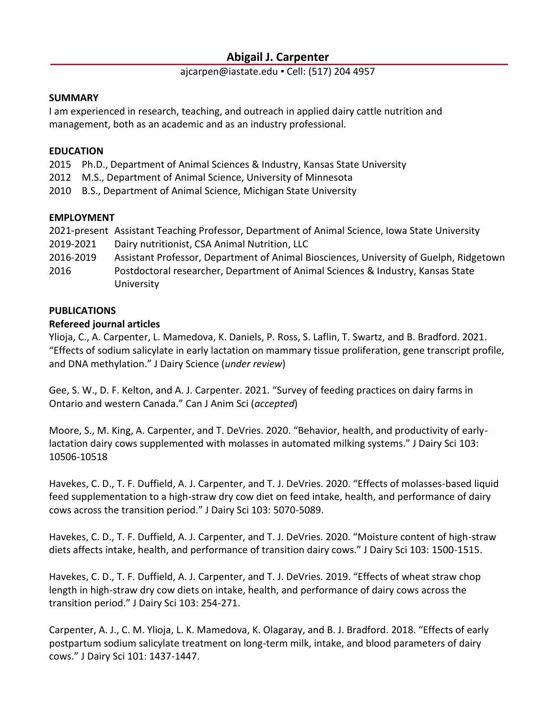# **Abigail J. Carpenter**

#### ajcarpen@iastate.edu ▪ Cell: (517) 204 4957

#### **SUMMARY**

I am experienced in research, teaching, and outreach in applied dairy cattle nutrition and management, both as an academic and as an industry professional.

#### **EDUCATION**

- 2015 Ph.D., Department of Animal Sciences & Industry, Kansas State University
- 2012 M.S., Department of Animal Science, University of Minnesota
- 2010 B.S., Department of Animal Science, Michigan State University

### **EMPLOYMENT**

- 2021-present Assistant Teaching Professor, Department of Animal Science, Iowa State University
- 2019-2021 Dairy nutritionist, CSA Animal Nutrition, LLC
- 2016-2019 Assistant Professor, Department of Animal Biosciences, University of Guelph, Ridgetown
- 2016 Postdoctoral researcher, Department of Animal Sciences & Industry, Kansas State University

### **PUBLICATIONS**

### **Refereed journal articles**

Ylioja, C., A. Carpenter, L. Mamedova, K. Daniels, P. Ross, S. Laflin, T. Swartz, and B. Bradford. 2021. "Effects of sodium salicylate in early lactation on mammary tissue proliferation, gene transcript profile, and DNA methylation." J Dairy Science (*under review*)

Gee, S. W., D. F. Kelton, and A. J. Carpenter. 2021. "Survey of feeding practices on dairy farms in Ontario and western Canada." Can J Anim Sci (*accepted*)

Moore, S., M. King, A. Carpenter, and T. DeVries. 2020. "Behavior, health, and productivity of earlylactation dairy cows supplemented with molasses in automated milking systems." J Dairy Sci 103: 10506-10518

Havekes, C. D., T. F. Duffield, A. J. Carpenter, and T. J. DeVries. 2020. "Effects of molasses-based liquid feed supplementation to a high-straw dry cow diet on feed intake, health, and performance of dairy cows across the transition period." J Dairy Sci 103: 5070-5089.

Havekes, C. D., T. F. Duffield, A. J. Carpenter, and T. J. DeVries. 2020. "Moisture content of high-straw diets affects intake, health, and performance of transition dairy cows." J Dairy Sci 103: 1500-1515.

Havekes, C. D., T. F. Duffield, A. J. Carpenter, and T. J. DeVries. 2019. "Effects of wheat straw chop length in high-straw dry cow diets on intake, health, and performance of dairy cows across the transition period." J Dairy Sci 103: 254-271.

Carpenter, A. J., C. M. Ylioja, L. K. Mamedova, K. Olagaray, and B. J. Bradford. 2018. "Effects of early postpartum sodium salicylate treatment on long-term milk, intake, and blood parameters of dairy cows." J Dairy Sci 101: 1437-1447.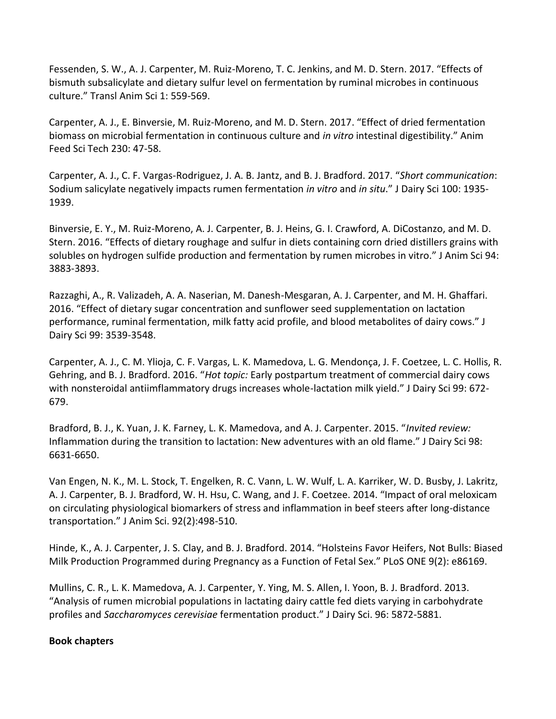Fessenden, S. W., A. J. Carpenter, M. Ruiz-Moreno, T. C. Jenkins, and M. D. Stern. 2017. "Effects of bismuth subsalicylate and dietary sulfur level on fermentation by ruminal microbes in continuous culture." Transl Anim Sci 1: 559-569.

Carpenter, A. J., E. Binversie, M. Ruiz-Moreno, and M. D. Stern. 2017. "Effect of dried fermentation biomass on microbial fermentation in continuous culture and *in vitro* intestinal digestibility." Anim Feed Sci Tech 230: 47-58.

Carpenter, A. J., C. F. Vargas-Rodriguez, J. A. B. Jantz, and B. J. Bradford. 2017. "*Short communication*: Sodium salicylate negatively impacts rumen fermentation *in vitro* and *in situ*." J Dairy Sci 100: 1935- 1939.

Binversie, E. Y., M. Ruiz-Moreno, A. J. Carpenter, B. J. Heins, G. I. Crawford, A. DiCostanzo, and M. D. Stern. 2016. "Effects of dietary roughage and sulfur in diets containing corn dried distillers grains with solubles on hydrogen sulfide production and fermentation by rumen microbes in vitro." J Anim Sci 94: 3883-3893.

Razzaghi, A., R. Valizadeh, A. A. Naserian, M. Danesh-Mesgaran, A. J. Carpenter, and M. H. Ghaffari. 2016. "Effect of dietary sugar concentration and sunflower seed supplementation on lactation performance, ruminal fermentation, milk fatty acid profile, and blood metabolites of dairy cows." J Dairy Sci 99: 3539-3548.

Carpenter, A. J., C. M. Ylioja, C. F. Vargas, L. K. Mamedova, L. G. Mendonça, J. F. Coetzee, L. C. Hollis, R. Gehring, and B. J. Bradford. 2016. "*Hot topic:* Early postpartum treatment of commercial dairy cows with nonsteroidal antiimflammatory drugs increases whole-lactation milk yield." J Dairy Sci 99: 672- 679.

Bradford, B. J., K. Yuan, J. K. Farney, L. K. Mamedova, and A. J. Carpenter. 2015. "*Invited review:* Inflammation during the transition to lactation: New adventures with an old flame." J Dairy Sci 98: 6631-6650.

Van Engen, N. K., M. L. Stock, T. Engelken, R. C. Vann, L. W. Wulf, L. A. Karriker, W. D. Busby, J. Lakritz, A. J. Carpenter, B. J. Bradford, W. H. Hsu, C. Wang, and J. F. Coetzee. 2014. "Impact of oral meloxicam on circulating physiological biomarkers of stress and inflammation in beef steers after long-distance transportation." J Anim Sci. 92(2):498-510.

Hinde, K., A. J. Carpenter, J. S. Clay, and B. J. Bradford. 2014. "Holsteins Favor Heifers, Not Bulls: Biased Milk Production Programmed during Pregnancy as a Function of Fetal Sex." PLoS ONE 9(2): e86169.

Mullins, C. R., L. K. Mamedova, A. J. Carpenter, Y. Ying, M. S. Allen, I. Yoon, B. J. Bradford. 2013. "Analysis of rumen microbial populations in lactating dairy cattle fed diets varying in carbohydrate profiles and *Saccharomyces cerevisiae* fermentation product." J Dairy Sci. 96: 5872-5881.

# **Book chapters**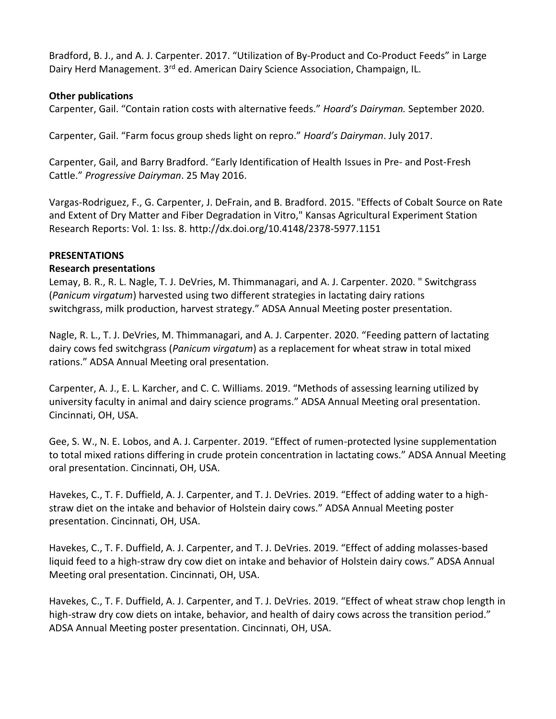Bradford, B. J., and A. J. Carpenter. 2017. "Utilization of By-Product and Co-Product Feeds" in Large Dairy Herd Management. 3<sup>rd</sup> ed. American Dairy Science Association, Champaign, IL.

### **Other publications**

Carpenter, Gail. "Contain ration costs with alternative feeds." *Hoard's Dairyman.* September 2020.

Carpenter, Gail. "Farm focus group sheds light on repro." *Hoard's Dairyman*. July 2017.

Carpenter, Gail, and Barry Bradford. "Early Identification of Health Issues in Pre- and Post-Fresh Cattle." *Progressive Dairyman*. 25 May 2016.

Vargas-Rodriguez, F., G. Carpenter, J. DeFrain, and B. Bradford. 2015. "Effects of Cobalt Source on Rate and Extent of Dry Matter and Fiber Degradation in Vitro," Kansas Agricultural Experiment Station Research Reports: Vol. 1: Iss. 8. http://dx.doi.org/10.4148/2378-5977.1151

### **PRESENTATIONS**

### **Research presentations**

Lemay, B. R., R. L. Nagle, T. J. DeVries, M. Thimmanagari, and A. J. Carpenter. 2020. " Switchgrass (*Panicum virgatum*) harvested using two different strategies in lactating dairy rations switchgrass, milk production, harvest strategy." ADSA Annual Meeting poster presentation.

Nagle, R. L., T. J. DeVries, M. Thimmanagari, and A. J. Carpenter. 2020. "Feeding pattern of lactating dairy cows fed switchgrass (*Panicum virgatum*) as a replacement for wheat straw in total mixed rations." ADSA Annual Meeting oral presentation.

Carpenter, A. J., E. L. Karcher, and C. C. Williams. 2019. "Methods of assessing learning utilized by university faculty in animal and dairy science programs." ADSA Annual Meeting oral presentation. Cincinnati, OH, USA.

Gee, S. W., N. E. Lobos, and A. J. Carpenter. 2019. "Effect of rumen-protected lysine supplementation to total mixed rations differing in crude protein concentration in lactating cows." ADSA Annual Meeting oral presentation. Cincinnati, OH, USA.

Havekes, C., T. F. Duffield, A. J. Carpenter, and T. J. DeVries. 2019. "Effect of adding water to a highstraw diet on the intake and behavior of Holstein dairy cows." ADSA Annual Meeting poster presentation. Cincinnati, OH, USA.

Havekes, C., T. F. Duffield, A. J. Carpenter, and T. J. DeVries. 2019. "Effect of adding molasses-based liquid feed to a high-straw dry cow diet on intake and behavior of Holstein dairy cows." ADSA Annual Meeting oral presentation. Cincinnati, OH, USA.

Havekes, C., T. F. Duffield, A. J. Carpenter, and T. J. DeVries. 2019. "Effect of wheat straw chop length in high-straw dry cow diets on intake, behavior, and health of dairy cows across the transition period." ADSA Annual Meeting poster presentation. Cincinnati, OH, USA.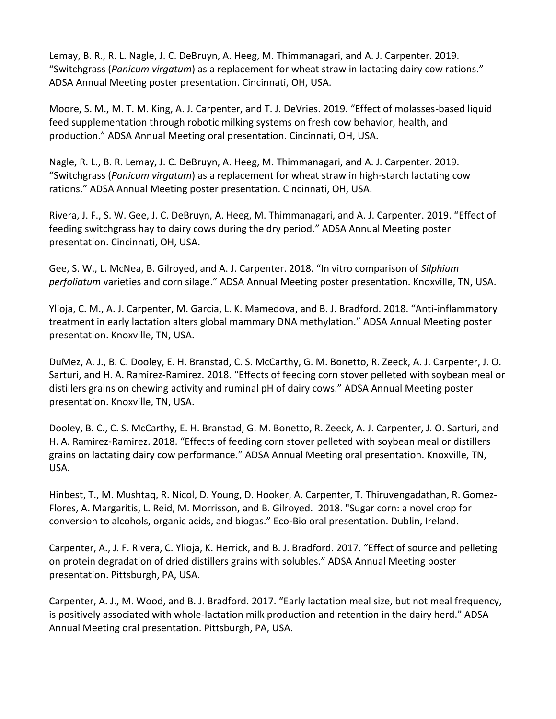Lemay, B. R., R. L. Nagle, J. C. DeBruyn, A. Heeg, M. Thimmanagari, and A. J. Carpenter. 2019. "Switchgrass (*Panicum virgatum*) as a replacement for wheat straw in lactating dairy cow rations." ADSA Annual Meeting poster presentation. Cincinnati, OH, USA.

Moore, S. M., M. T. M. King, A. J. Carpenter, and T. J. DeVries. 2019. "Effect of molasses-based liquid feed supplementation through robotic milking systems on fresh cow behavior, health, and production." ADSA Annual Meeting oral presentation. Cincinnati, OH, USA.

Nagle, R. L., B. R. Lemay, J. C. DeBruyn, A. Heeg, M. Thimmanagari, and A. J. Carpenter. 2019. "Switchgrass (*Panicum virgatum*) as a replacement for wheat straw in high-starch lactating cow rations." ADSA Annual Meeting poster presentation. Cincinnati, OH, USA.

Rivera, J. F., S. W. Gee, J. C. DeBruyn, A. Heeg, M. Thimmanagari, and A. J. Carpenter. 2019. "Effect of feeding switchgrass hay to dairy cows during the dry period." ADSA Annual Meeting poster presentation. Cincinnati, OH, USA.

Gee, S. W., L. McNea, B. Gilroyed, and A. J. Carpenter. 2018. "In vitro comparison of *Silphium perfoliatum* varieties and corn silage." ADSA Annual Meeting poster presentation. Knoxville, TN, USA.

Ylioja, C. M., A. J. Carpenter, M. Garcia, L. K. Mamedova, and B. J. Bradford. 2018. "Anti-inflammatory treatment in early lactation alters global mammary DNA methylation." ADSA Annual Meeting poster presentation. Knoxville, TN, USA.

DuMez, A. J., B. C. Dooley, E. H. Branstad, C. S. McCarthy, G. M. Bonetto, R. Zeeck, A. J. Carpenter, J. O. Sarturi, and H. A. Ramirez-Ramirez. 2018. "Effects of feeding corn stover pelleted with soybean meal or distillers grains on chewing activity and ruminal pH of dairy cows." ADSA Annual Meeting poster presentation. Knoxville, TN, USA.

Dooley, B. C., C. S. McCarthy, E. H. Branstad, G. M. Bonetto, R. Zeeck, A. J. Carpenter, J. O. Sarturi, and H. A. Ramirez-Ramirez. 2018. "Effects of feeding corn stover pelleted with soybean meal or distillers grains on lactating dairy cow performance." ADSA Annual Meeting oral presentation. Knoxville, TN, USA.

Hinbest, T., M. Mushtaq, R. Nicol, D. Young, D. Hooker, A. Carpenter, T. Thiruvengadathan, R. Gomez-Flores, A. Margaritis, L. Reid, M. Morrisson, and B. Gilroyed. 2018. "Sugar corn: a novel crop for conversion to alcohols, organic acids, and biogas." Eco-Bio oral presentation. Dublin, Ireland.

Carpenter, A., J. F. Rivera, C. Ylioja, K. Herrick, and B. J. Bradford. 2017. "Effect of source and pelleting on protein degradation of dried distillers grains with solubles." ADSA Annual Meeting poster presentation. Pittsburgh, PA, USA.

Carpenter, A. J., M. Wood, and B. J. Bradford. 2017. "Early lactation meal size, but not meal frequency, is positively associated with whole-lactation milk production and retention in the dairy herd." ADSA Annual Meeting oral presentation. Pittsburgh, PA, USA.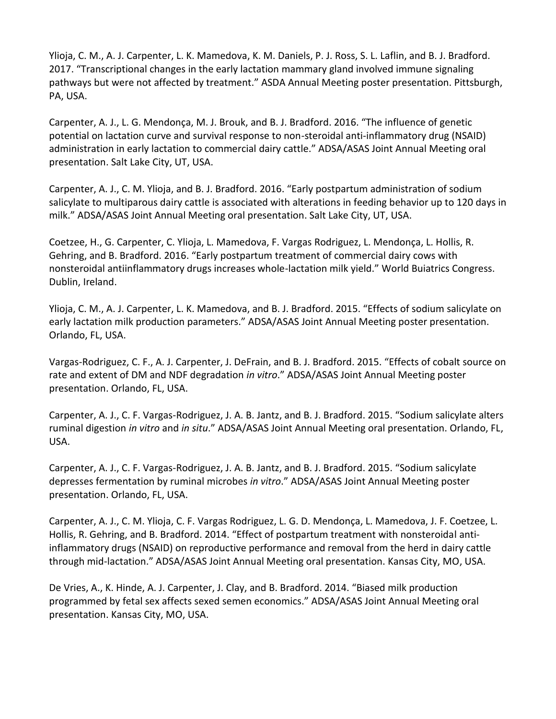Ylioja, C. M., A. J. Carpenter, L. K. Mamedova, K. M. Daniels, P. J. Ross, S. L. Laflin, and B. J. Bradford. 2017. "Transcriptional changes in the early lactation mammary gland involved immune signaling pathways but were not affected by treatment." ASDA Annual Meeting poster presentation. Pittsburgh, PA, USA.

Carpenter, A. J., L. G. Mendonça, M. J. Brouk, and B. J. Bradford. 2016. "The influence of genetic potential on lactation curve and survival response to non-steroidal anti-inflammatory drug (NSAID) administration in early lactation to commercial dairy cattle." ADSA/ASAS Joint Annual Meeting oral presentation. Salt Lake City, UT, USA.

Carpenter, A. J., C. M. Ylioja, and B. J. Bradford. 2016. "Early postpartum administration of sodium salicylate to multiparous dairy cattle is associated with alterations in feeding behavior up to 120 days in milk." ADSA/ASAS Joint Annual Meeting oral presentation. Salt Lake City, UT, USA.

Coetzee, H., G. Carpenter, C. Ylioja, L. Mamedova, F. Vargas Rodriguez, L. Mendonça, L. Hollis, R. Gehring, and B. Bradford. 2016. "Early postpartum treatment of commercial dairy cows with nonsteroidal antiinflammatory drugs increases whole-lactation milk yield." World Buiatrics Congress. Dublin, Ireland.

Ylioja, C. M., A. J. Carpenter, L. K. Mamedova, and B. J. Bradford. 2015. "Effects of sodium salicylate on early lactation milk production parameters." ADSA/ASAS Joint Annual Meeting poster presentation. Orlando, FL, USA.

Vargas-Rodriguez, C. F., A. J. Carpenter, J. DeFrain, and B. J. Bradford. 2015. "Effects of cobalt source on rate and extent of DM and NDF degradation *in vitro*." ADSA/ASAS Joint Annual Meeting poster presentation. Orlando, FL, USA.

Carpenter, A. J., C. F. Vargas-Rodriguez, J. A. B. Jantz, and B. J. Bradford. 2015. "Sodium salicylate alters ruminal digestion *in vitro* and *in situ*." ADSA/ASAS Joint Annual Meeting oral presentation. Orlando, FL, USA.

Carpenter, A. J., C. F. Vargas-Rodriguez, J. A. B. Jantz, and B. J. Bradford. 2015. "Sodium salicylate depresses fermentation by ruminal microbes *in vitro*." ADSA/ASAS Joint Annual Meeting poster presentation. Orlando, FL, USA.

Carpenter, A. J., C. M. Ylioja, C. F. Vargas Rodriguez, L. G. D. Mendonça, L. Mamedova, J. F. Coetzee, L. Hollis, R. Gehring, and B. Bradford. 2014. "Effect of postpartum treatment with nonsteroidal antiinflammatory drugs (NSAID) on reproductive performance and removal from the herd in dairy cattle through mid-lactation." ADSA/ASAS Joint Annual Meeting oral presentation. Kansas City, MO, USA.

De Vries, A., K. Hinde, A. J. Carpenter, J. Clay, and B. Bradford. 2014. "Biased milk production programmed by fetal sex affects sexed semen economics." ADSA/ASAS Joint Annual Meeting oral presentation. Kansas City, MO, USA.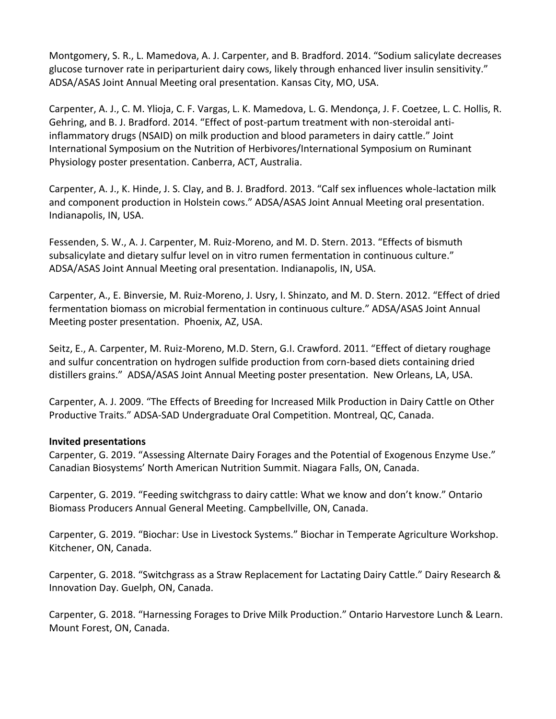Montgomery, S. R., L. Mamedova, A. J. Carpenter, and B. Bradford. 2014. "Sodium salicylate decreases glucose turnover rate in periparturient dairy cows, likely through enhanced liver insulin sensitivity." ADSA/ASAS Joint Annual Meeting oral presentation. Kansas City, MO, USA.

Carpenter, A. J., C. M. Ylioja, C. F. Vargas, L. K. Mamedova, L. G. Mendonça, J. F. Coetzee, L. C. Hollis, R. Gehring, and B. J. Bradford. 2014. "Effect of post-partum treatment with non-steroidal antiinflammatory drugs (NSAID) on milk production and blood parameters in dairy cattle." Joint International Symposium on the Nutrition of Herbivores/International Symposium on Ruminant Physiology poster presentation. Canberra, ACT, Australia.

Carpenter, A. J., K. Hinde, J. S. Clay, and B. J. Bradford. 2013. "Calf sex influences whole-lactation milk and component production in Holstein cows." ADSA/ASAS Joint Annual Meeting oral presentation. Indianapolis, IN, USA.

Fessenden, S. W., A. J. Carpenter, M. Ruiz-Moreno, and M. D. Stern. 2013. "Effects of bismuth subsalicylate and dietary sulfur level on in vitro rumen fermentation in continuous culture." ADSA/ASAS Joint Annual Meeting oral presentation. Indianapolis, IN, USA.

Carpenter, A., E. Binversie, M. Ruiz-Moreno, J. Usry, I. Shinzato, and M. D. Stern. 2012. "Effect of dried fermentation biomass on microbial fermentation in continuous culture." ADSA/ASAS Joint Annual Meeting poster presentation. Phoenix, AZ, USA.

Seitz, E., A. Carpenter, M. Ruiz-Moreno, M.D. Stern, G.I. Crawford. 2011. "Effect of dietary roughage and sulfur concentration on hydrogen sulfide production from corn-based diets containing dried distillers grains." ADSA/ASAS Joint Annual Meeting poster presentation. New Orleans, LA, USA.

Carpenter, A. J. 2009. "The Effects of Breeding for Increased Milk Production in Dairy Cattle on Other Productive Traits." ADSA-SAD Undergraduate Oral Competition. Montreal, QC, Canada.

### **Invited presentations**

Carpenter, G. 2019. "Assessing Alternate Dairy Forages and the Potential of Exogenous Enzyme Use." Canadian Biosystems' North American Nutrition Summit. Niagara Falls, ON, Canada.

Carpenter, G. 2019. "Feeding switchgrass to dairy cattle: What we know and don't know." Ontario Biomass Producers Annual General Meeting. Campbellville, ON, Canada.

Carpenter, G. 2019. "Biochar: Use in Livestock Systems." Biochar in Temperate Agriculture Workshop. Kitchener, ON, Canada.

Carpenter, G. 2018. "Switchgrass as a Straw Replacement for Lactating Dairy Cattle." Dairy Research & Innovation Day. Guelph, ON, Canada.

Carpenter, G. 2018. "Harnessing Forages to Drive Milk Production." Ontario Harvestore Lunch & Learn. Mount Forest, ON, Canada.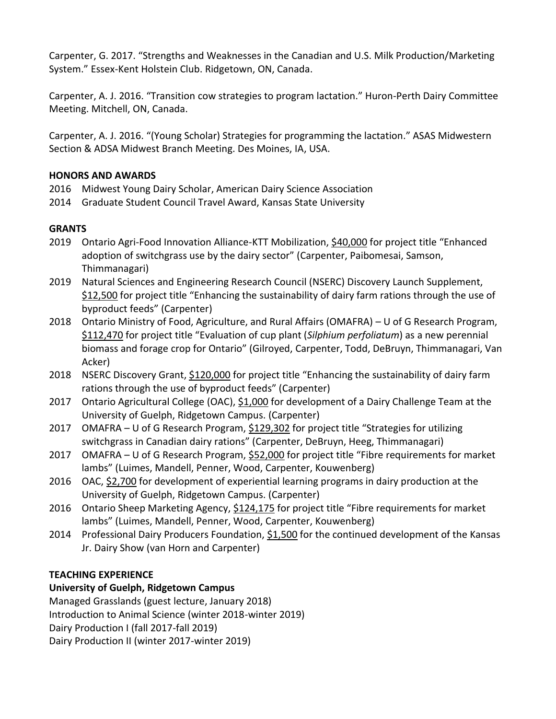Carpenter, G. 2017. "Strengths and Weaknesses in the Canadian and U.S. Milk Production/Marketing System." Essex-Kent Holstein Club. Ridgetown, ON, Canada.

Carpenter, A. J. 2016. "Transition cow strategies to program lactation." Huron-Perth Dairy Committee Meeting. Mitchell, ON, Canada.

Carpenter, A. J. 2016. "(Young Scholar) Strategies for programming the lactation." ASAS Midwestern Section & ADSA Midwest Branch Meeting. Des Moines, IA, USA.

# **HONORS AND AWARDS**

- 2016 Midwest Young Dairy Scholar, American Dairy Science Association
- 2014 Graduate Student Council Travel Award, Kansas State University

# **GRANTS**

- 2019 Ontario Agri-Food Innovation Alliance-KTT Mobilization, \$40,000 for project title "Enhanced adoption of switchgrass use by the dairy sector" (Carpenter, Paibomesai, Samson, Thimmanagari)
- 2019 Natural Sciences and Engineering Research Council (NSERC) Discovery Launch Supplement, \$12,500 for project title "Enhancing the sustainability of dairy farm rations through the use of byproduct feeds" (Carpenter)
- 2018 Ontario Ministry of Food, Agriculture, and Rural Affairs (OMAFRA) U of G Research Program, \$112,470 for project title "Evaluation of cup plant (*Silphium perfoliatum*) as a new perennial biomass and forage crop for Ontario" (Gilroyed, Carpenter, Todd, DeBruyn, Thimmanagari, Van Acker)
- 2018 NSERC Discovery Grant, \$120,000 for project title "Enhancing the sustainability of dairy farm rations through the use of byproduct feeds" (Carpenter)
- 2017 Ontario Agricultural College (OAC), \$1,000 for development of a Dairy Challenge Team at the University of Guelph, Ridgetown Campus. (Carpenter)
- 2017 OMAFRA U of G Research Program, \$129,302 for project title "Strategies for utilizing switchgrass in Canadian dairy rations" (Carpenter, DeBruyn, Heeg, Thimmanagari)
- 2017 OMAFRA U of G Research Program, \$52,000 for project title "Fibre requirements for market lambs" (Luimes, Mandell, Penner, Wood, Carpenter, Kouwenberg)
- 2016 OAC, \$2,700 for development of experiential learning programs in dairy production at the University of Guelph, Ridgetown Campus. (Carpenter)
- 2016 Ontario Sheep Marketing Agency, \$124,175 for project title "Fibre requirements for market lambs" (Luimes, Mandell, Penner, Wood, Carpenter, Kouwenberg)
- 2014 Professional Dairy Producers Foundation, \$1,500 for the continued development of the Kansas Jr. Dairy Show (van Horn and Carpenter)

# **TEACHING EXPERIENCE**

# **University of Guelph, Ridgetown Campus**

Managed Grasslands (guest lecture, January 2018) Introduction to Animal Science (winter 2018-winter 2019) Dairy Production I (fall 2017-fall 2019) Dairy Production II (winter 2017-winter 2019)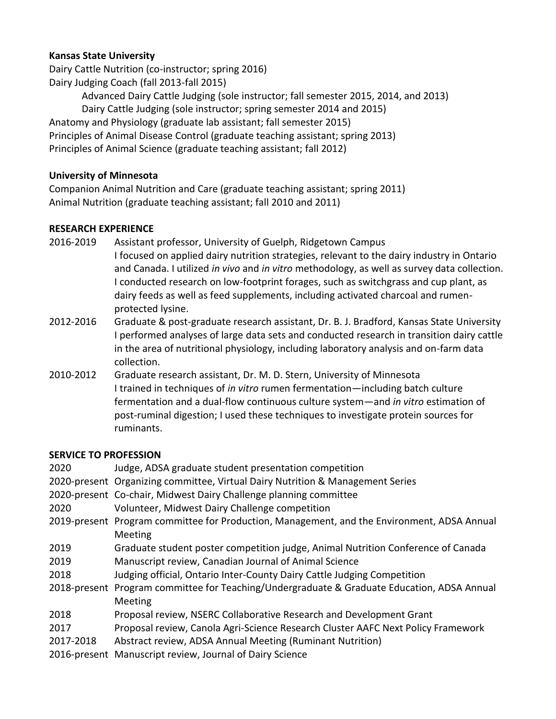# **Kansas State University**

Dairy Cattle Nutrition (co-instructor; spring 2016) Dairy Judging Coach (fall 2013-fall 2015)

Advanced Dairy Cattle Judging (sole instructor; fall semester 2015, 2014, and 2013) Dairy Cattle Judging (sole instructor; spring semester 2014 and 2015) Anatomy and Physiology (graduate lab assistant; fall semester 2015) Principles of Animal Disease Control (graduate teaching assistant; spring 2013) Principles of Animal Science (graduate teaching assistant; fall 2012)

### **University of Minnesota**

Companion Animal Nutrition and Care (graduate teaching assistant; spring 2011) Animal Nutrition (graduate teaching assistant; fall 2010 and 2011)

### **RESEARCH EXPERIENCE**

- 2016-2019 Assistant professor, University of Guelph, Ridgetown Campus I focused on applied dairy nutrition strategies, relevant to the dairy industry in Ontario and Canada. I utilized *in vivo* and *in vitro* methodology, as well as survey data collection. I conducted research on low-footprint forages, such as switchgrass and cup plant, as dairy feeds as well as feed supplements, including activated charcoal and rumenprotected lysine.
- 2012-2016 Graduate & post-graduate research assistant, Dr. B. J. Bradford, Kansas State University I performed analyses of large data sets and conducted research in transition dairy cattle in the area of nutritional physiology, including laboratory analysis and on-farm data collection.
- 2010-2012 Graduate research assistant, Dr. M. D. Stern, University of Minnesota I trained in techniques of *in vitro* rumen fermentation—including batch culture fermentation and a dual-flow continuous culture system—and *in vitro* estimation of post-ruminal digestion; I used these techniques to investigate protein sources for ruminants.

### **SERVICE TO PROFESSION**

2020 Judge, ADSA graduate student presentation competition 2020-present Organizing committee, Virtual Dairy Nutrition & Management Series 2020-present Co-chair, Midwest Dairy Challenge planning committee 2020 Volunteer, Midwest Dairy Challenge competition 2019-present Program committee for Production, Management, and the Environment, ADSA Annual **Meeting** 2019 Graduate student poster competition judge, Animal Nutrition Conference of Canada 2019 Manuscript review, Canadian Journal of Animal Science 2018 Judging official, Ontario Inter-County Dairy Cattle Judging Competition 2018-present Program committee for Teaching/Undergraduate & Graduate Education, ADSA Annual Meeting 2018 Proposal review, NSERC Collaborative Research and Development Grant 2017 Proposal review, Canola Agri-Science Research Cluster AAFC Next Policy Framework 2017-2018 Abstract review, ADSA Annual Meeting (Ruminant Nutrition) 2016-present Manuscript review, Journal of Dairy Science